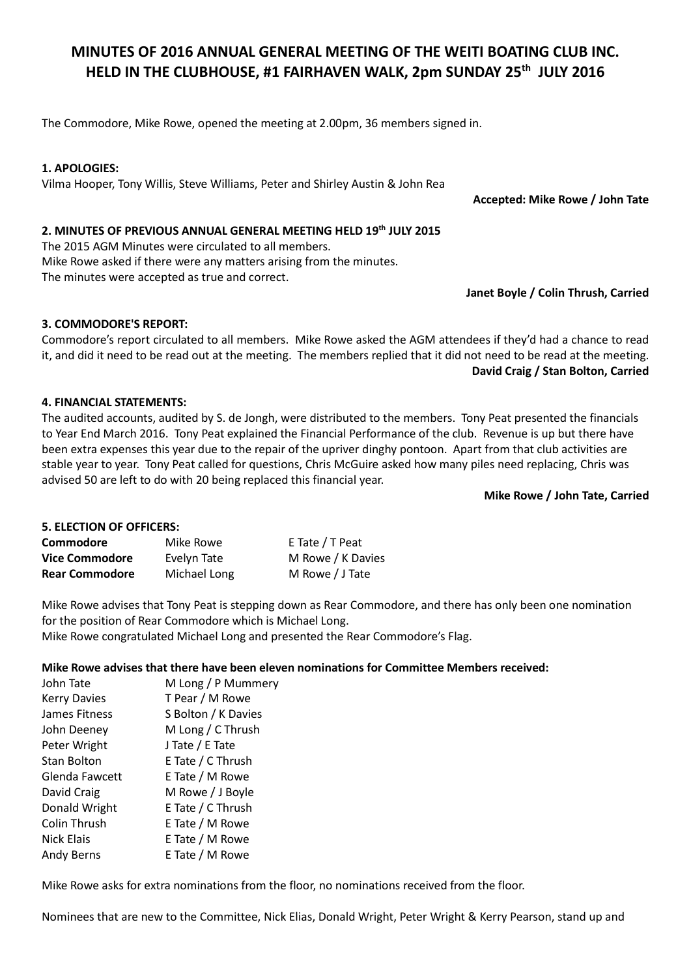# MINUTES OF 2016 ANNUAL GENERAL MEETING OF THE WEITI BOATING CLUB INC. HELD IN THE CLUBHOUSE, #1 FAIRHAVEN WALK, 2pm SUNDAY 25<sup>th</sup> JULY 2016

The Commodore, Mike Rowe, opened the meeting at 2.00pm, 36 members signed in.

# 1. APOLOGIES:

Vilma Hooper, Tony Willis, Steve Williams, Peter and Shirley Austin & John Rea

Accepted: Mike Rowe / John Tate

# 2. MINUTES OF PREVIOUS ANNUAL GENERAL MEETING HELD 19th JULY 2015

The 2015 AGM Minutes were circulated to all members. Mike Rowe asked if there were any matters arising from the minutes. The minutes were accepted as true and correct.

Janet Boyle / Colin Thrush, Carried

## 3. COMMODORE'S REPORT:

Commodore's report circulated to all members. Mike Rowe asked the AGM attendees if they'd had a chance to read it, and did it need to be read out at the meeting. The members replied that it did not need to be read at the meeting. David Craig / Stan Bolton, Carried

## 4. FINANCIAL STATEMENTS:

The audited accounts, audited by S. de Jongh, were distributed to the members. Tony Peat presented the financials to Year End March 2016. Tony Peat explained the Financial Performance of the club. Revenue is up but there have been extra expenses this year due to the repair of the upriver dinghy pontoon. Apart from that club activities are stable year to year. Tony Peat called for questions, Chris McGuire asked how many piles need replacing, Chris was advised 50 are left to do with 20 being replaced this financial year.

## Mike Rowe / John Tate, Carried

# 5. ELECTION OF OFFICERS:

| Commodore             | Mike Rowe    | E Tate / T Peat   |
|-----------------------|--------------|-------------------|
| <b>Vice Commodore</b> | Evelyn Tate  | M Rowe / K Davies |
| <b>Rear Commodore</b> | Michael Long | M Rowe / J Tate   |

Mike Rowe advises that Tony Peat is stepping down as Rear Commodore, and there has only been one nomination for the position of Rear Commodore which is Michael Long.

Mike Rowe congratulated Michael Long and presented the Rear Commodore's Flag.

#### Mike Rowe advises that there have been eleven nominations for Committee Members received:

| John Tate           | M Long / P Mummery  |
|---------------------|---------------------|
| <b>Kerry Davies</b> | T Pear / M Rowe     |
| James Fitness       | S Bolton / K Davies |
| John Deeney         | M Long / C Thrush   |
| Peter Wright        | J Tate / E Tate     |
| <b>Stan Bolton</b>  | E Tate / C Thrush   |
| Glenda Fawcett      | E Tate / M Rowe     |
| David Craig         | M Rowe / J Boyle    |
| Donald Wright       | E Tate / C Thrush   |
| Colin Thrush        | E Tate / M Rowe     |
| Nick Elais          | E Tate / M Rowe     |
| Andy Berns          | E Tate / M Rowe     |

Mike Rowe asks for extra nominations from the floor, no nominations received from the floor.

Nominees that are new to the Committee, Nick Elias, Donald Wright, Peter Wright & Kerry Pearson, stand up and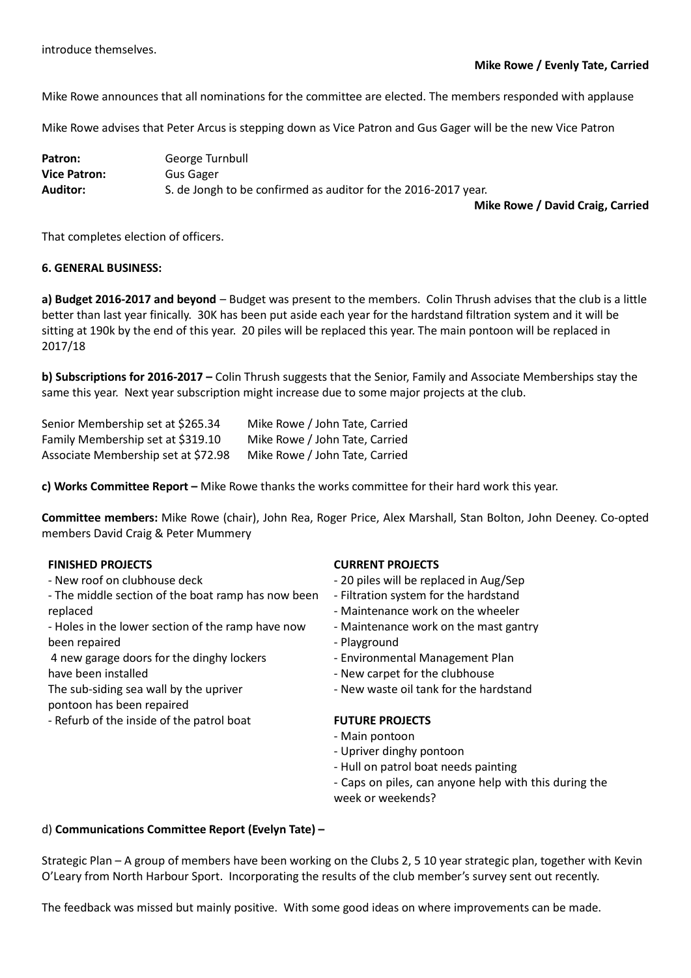Mike Rowe announces that all nominations for the committee are elected. The members responded with applause

Mike Rowe advises that Peter Arcus is stepping down as Vice Patron and Gus Gager will be the new Vice Patron

| Patron:             | George Turnbull                                                |
|---------------------|----------------------------------------------------------------|
| <b>Vice Patron:</b> | Gus Gager                                                      |
| Auditor:            | S. de Jongh to be confirmed as auditor for the 2016-2017 year. |
|                     |                                                                |

Mike Rowe / David Craig, Carried

That completes election of officers.

#### 6. GENERAL BUSINESS:

a) Budget 2016-2017 and beyond – Budget was present to the members. Colin Thrush advises that the club is a little better than last year finically. 30K has been put aside each year for the hardstand filtration system and it will be sitting at 190k by the end of this year. 20 piles will be replaced this year. The main pontoon will be replaced in 2017/18

b) Subscriptions for 2016-2017 – Colin Thrush suggests that the Senior, Family and Associate Memberships stay the same this year. Next year subscription might increase due to some major projects at the club.

| Senior Membership set at \$265.34   | Mike Rowe / John Tate, Carried |
|-------------------------------------|--------------------------------|
| Family Membership set at \$319.10   | Mike Rowe / John Tate, Carried |
| Associate Membership set at \$72.98 | Mike Rowe / John Tate, Carried |

c) Works Committee Report – Mike Rowe thanks the works committee for their hard work this year.

Committee members: Mike Rowe (chair), John Rea, Roger Price, Alex Marshall, Stan Bolton, John Deeney. Co-opted members David Craig & Peter Mummery

## FINISHED PROJECTS

- New roof on clubhouse deck
- The middle section of the boat ramp has now been replaced
- Holes in the lower section of the ramp have now been repaired
- 4 new garage doors for the dinghy lockers have been installed
- The sub-siding sea wall by the upriver
- pontoon has been repaired
- Refurb of the inside of the patrol boat

# CURRENT PROJECTS

- 20 piles will be replaced in Aug/Sep
- Filtration system for the hardstand
- Maintenance work on the wheeler
- Maintenance work on the mast gantry
- Playground
- Environmental Management Plan
- New carpet for the clubhouse
- New waste oil tank for the hardstand

#### FUTURE PROJECTS

- Main pontoon
- Upriver dinghy pontoon
- Hull on patrol boat needs painting
- Caps on piles, can anyone help with this during the week or weekends?

#### d) Communications Committee Report (Evelyn Tate) –

Strategic Plan – A group of members have been working on the Clubs 2, 5 10 year strategic plan, together with Kevin O'Leary from North Harbour Sport. Incorporating the results of the club member's survey sent out recently.

The feedback was missed but mainly positive. With some good ideas on where improvements can be made.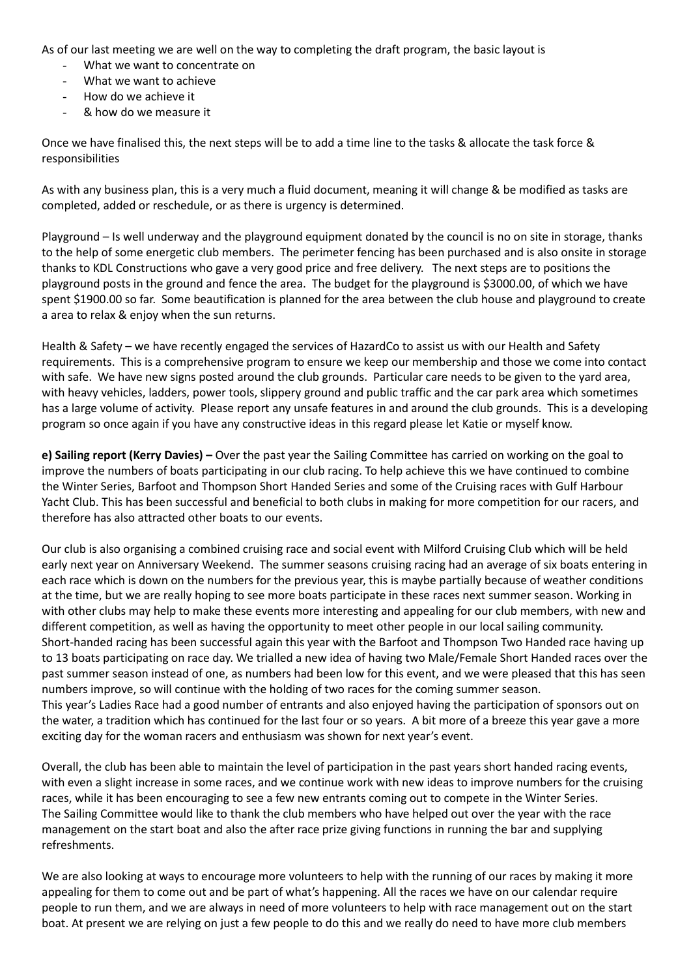As of our last meeting we are well on the way to completing the draft program, the basic layout is

- What we want to concentrate on
- What we want to achieve
- How do we achieve it
- & how do we measure it

Once we have finalised this, the next steps will be to add a time line to the tasks & allocate the task force & responsibilities

As with any business plan, this is a very much a fluid document, meaning it will change & be modified as tasks are completed, added or reschedule, or as there is urgency is determined.

Playground – Is well underway and the playground equipment donated by the council is no on site in storage, thanks to the help of some energetic club members. The perimeter fencing has been purchased and is also onsite in storage thanks to KDL Constructions who gave a very good price and free delivery. The next steps are to positions the playground posts in the ground and fence the area. The budget for the playground is \$3000.00, of which we have spent \$1900.00 so far. Some beautification is planned for the area between the club house and playground to create a area to relax & enjoy when the sun returns.

Health & Safety – we have recently engaged the services of HazardCo to assist us with our Health and Safety requirements. This is a comprehensive program to ensure we keep our membership and those we come into contact with safe. We have new signs posted around the club grounds. Particular care needs to be given to the yard area, with heavy vehicles, ladders, power tools, slippery ground and public traffic and the car park area which sometimes has a large volume of activity. Please report any unsafe features in and around the club grounds. This is a developing program so once again if you have any constructive ideas in this regard please let Katie or myself know.

e) Sailing report (Kerry Davies) – Over the past year the Sailing Committee has carried on working on the goal to improve the numbers of boats participating in our club racing. To help achieve this we have continued to combine the Winter Series, Barfoot and Thompson Short Handed Series and some of the Cruising races with Gulf Harbour Yacht Club. This has been successful and beneficial to both clubs in making for more competition for our racers, and therefore has also attracted other boats to our events.

Our club is also organising a combined cruising race and social event with Milford Cruising Club which will be held early next year on Anniversary Weekend. The summer seasons cruising racing had an average of six boats entering in each race which is down on the numbers for the previous year, this is maybe partially because of weather conditions at the time, but we are really hoping to see more boats participate in these races next summer season. Working in with other clubs may help to make these events more interesting and appealing for our club members, with new and different competition, as well as having the opportunity to meet other people in our local sailing community. Short-handed racing has been successful again this year with the Barfoot and Thompson Two Handed race having up to 13 boats participating on race day. We trialled a new idea of having two Male/Female Short Handed races over the past summer season instead of one, as numbers had been low for this event, and we were pleased that this has seen numbers improve, so will continue with the holding of two races for the coming summer season. This year's Ladies Race had a good number of entrants and also enjoyed having the participation of sponsors out on the water, a tradition which has continued for the last four or so years. A bit more of a breeze this year gave a more exciting day for the woman racers and enthusiasm was shown for next year's event.

Overall, the club has been able to maintain the level of participation in the past years short handed racing events, with even a slight increase in some races, and we continue work with new ideas to improve numbers for the cruising races, while it has been encouraging to see a few new entrants coming out to compete in the Winter Series. The Sailing Committee would like to thank the club members who have helped out over the year with the race management on the start boat and also the after race prize giving functions in running the bar and supplying refreshments.

We are also looking at ways to encourage more volunteers to help with the running of our races by making it more appealing for them to come out and be part of what's happening. All the races we have on our calendar require people to run them, and we are always in need of more volunteers to help with race management out on the start boat. At present we are relying on just a few people to do this and we really do need to have more club members